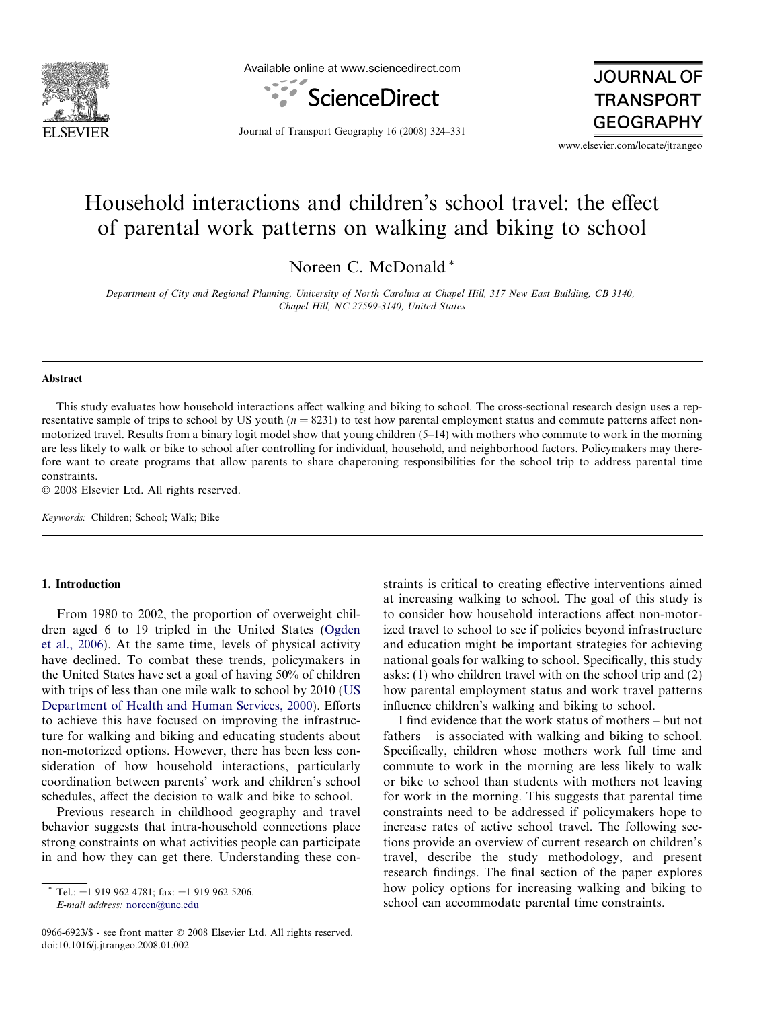

Available online at www.sciencedirect.com



**JOURNAL OF TRANSPORT GEOGRAPHY** 

Journal of Transport Geography 16 (2008) 324–331

www.elsevier.com/locate/jtrangeo

# Household interactions and children's school travel: the effect of parental work patterns on walking and biking to school

Noreen C. McDonald \*

Department of City and Regional Planning, University of North Carolina at Chapel Hill, 317 New East Building, CB 3140, Chapel Hill, NC 27599-3140, United States

## Abstract

This study evaluates how household interactions affect walking and biking to school. The cross-sectional research design uses a representative sample of trips to school by US youth  $(n = 8231)$  to test how parental employment status and commute patterns affect nonmotorized travel. Results from a binary logit model show that young children (5–14) with mothers who commute to work in the morning are less likely to walk or bike to school after controlling for individual, household, and neighborhood factors. Policymakers may therefore want to create programs that allow parents to share chaperoning responsibilities for the school trip to address parental time constraints.

© 2008 Elsevier Ltd. All rights reserved.

Keywords: Children; School; Walk; Bike

## 1. Introduction

From 1980 to 2002, the proportion of overweight children aged 6 to 19 tripled in the United States ([Ogden](#page-6-0) [et al., 2006](#page-6-0)). At the same time, levels of physical activity have declined. To combat these trends, policymakers in the United States have set a goal of having 50% of children with trips of less than one mile walk to school by 2010 [\(US](#page-7-0) [Department of Health and Human Services, 2000\)](#page-7-0). Efforts to achieve this have focused on improving the infrastructure for walking and biking and educating students about non-motorized options. However, there has been less consideration of how household interactions, particularly coordination between parents' work and children's school schedules, affect the decision to walk and bike to school.

Previous research in childhood geography and travel behavior suggests that intra-household connections place strong constraints on what activities people can participate in and how they can get there. Understanding these con-

0966-6923/\$ - see front matter © 2008 Elsevier Ltd. All rights reserved. doi:10.1016/j.jtrangeo.2008.01.002

straints is critical to creating effective interventions aimed at increasing walking to school. The goal of this study is to consider how household interactions affect non-motorized travel to school to see if policies beyond infrastructure and education might be important strategies for achieving national goals for walking to school. Specifically, this study asks: (1) who children travel with on the school trip and (2) how parental employment status and work travel patterns influence children's walking and biking to school.

I find evidence that the work status of mothers – but not fathers – is associated with walking and biking to school. Specifically, children whose mothers work full time and commute to work in the morning are less likely to walk or bike to school than students with mothers not leaving for work in the morning. This suggests that parental time constraints need to be addressed if policymakers hope to increase rates of active school travel. The following sections provide an overview of current research on children's travel, describe the study methodology, and present research findings. The final section of the paper explores how policy options for increasing walking and biking to school can accommodate parental time constraints.

Tel.:  $+1$  919 962 4781; fax:  $+1$  919 962 5206. E-mail address: [noreen@unc.edu](mailto:noreen@unc.edu)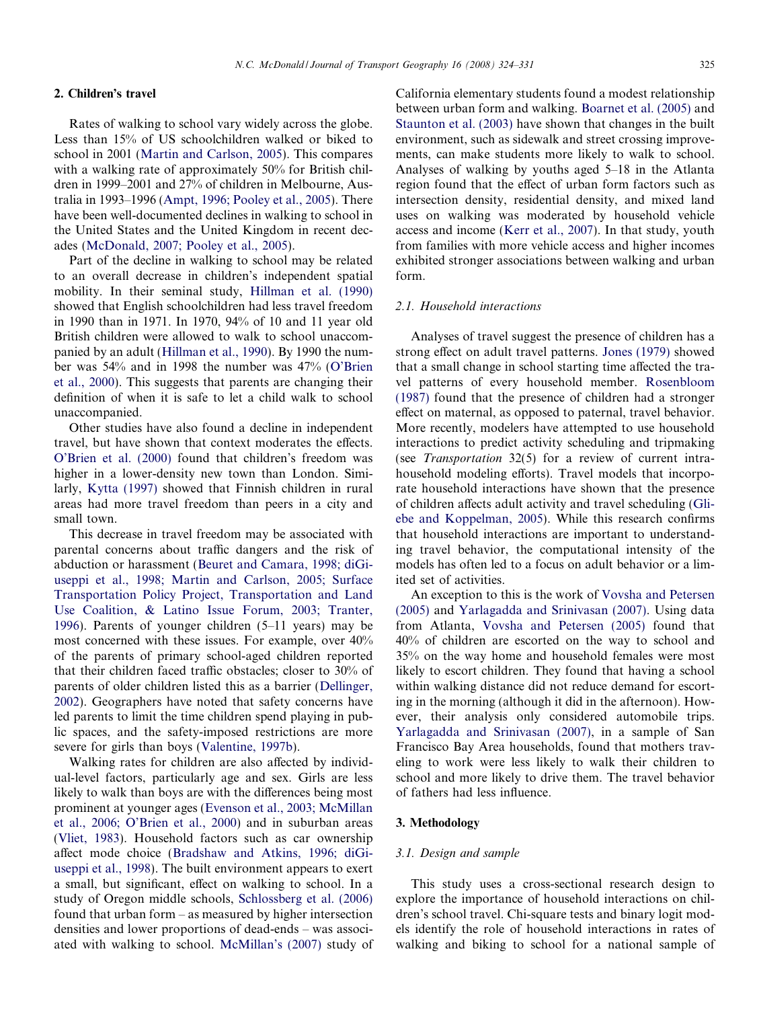## 2. Children's travel

Rates of walking to school vary widely across the globe. Less than 15% of US schoolchildren walked or biked to school in 2001 ([Martin and Carlson, 2005](#page-6-0)). This compares with a walking rate of approximately 50% for British children in 1999–2001 and 27% of children in Melbourne, Australia in 1993–1996 ([Ampt, 1996; Pooley et al., 2005](#page-6-0)). There have been well-documented declines in walking to school in the United States and the United Kingdom in recent decades ([McDonald, 2007; Pooley et al., 2005](#page-6-0)).

Part of the decline in walking to school may be related to an overall decrease in children's independent spatial mobility. In their seminal study, [Hillman et al. \(1990\)](#page-6-0) showed that English schoolchildren had less travel freedom in 1990 than in 1971. In 1970, 94% of 10 and 11 year old British children were allowed to walk to school unaccompanied by an adult [\(Hillman et al., 1990](#page-6-0)). By 1990 the number was 54% and in 1998 the number was 47% [\(O'Brien](#page-6-0) [et al., 2000](#page-6-0)). This suggests that parents are changing their definition of when it is safe to let a child walk to school unaccompanied.

Other studies have also found a decline in independent travel, but have shown that context moderates the effects. [O'Brien et al. \(2000\)](#page-6-0) found that children's freedom was higher in a lower-density new town than London. Similarly, [Kytta \(1997\)](#page-6-0) showed that Finnish children in rural areas had more travel freedom than peers in a city and small town.

This decrease in travel freedom may be associated with parental concerns about traffic dangers and the risk of abduction or harassment ([Beuret and Camara, 1998; diGi](#page-6-0)[useppi et al., 1998; Martin and Carlson, 2005; Surface](#page-6-0) [Transportation Policy Project, Transportation and Land](#page-6-0) [Use Coalition, & Latino Issue Forum, 2003; Tranter,](#page-6-0) [1996](#page-6-0)). Parents of younger children (5–11 years) may be most concerned with these issues. For example, over 40% of the parents of primary school-aged children reported that their children faced traffic obstacles; closer to 30% of parents of older children listed this as a barrier [\(Dellinger,](#page-6-0) [2002](#page-6-0)). Geographers have noted that safety concerns have led parents to limit the time children spend playing in public spaces, and the safety-imposed restrictions are more severe for girls than boys [\(Valentine, 1997b](#page-7-0)).

Walking rates for children are also affected by individual-level factors, particularly age and sex. Girls are less likely to walk than boys are with the differences being most prominent at younger ages [\(Evenson et al., 2003; McMillan](#page-6-0) [et al., 2006; O'Brien et al., 2000](#page-6-0)) and in suburban areas ([Vliet, 1983](#page-7-0)). Household factors such as car ownership affect mode choice ([Bradshaw and Atkins, 1996; diGi](#page-6-0)[useppi et al., 1998\)](#page-6-0). The built environment appears to exert a small, but significant, effect on walking to school. In a study of Oregon middle schools, [Schlossberg et al. \(2006\)](#page-6-0) found that urban form – as measured by higher intersection densities and lower proportions of dead-ends – was associated with walking to school. [McMillan's \(2007\)](#page-6-0) study of California elementary students found a modest relationship between urban form and walking. [Boarnet et al. \(2005\)](#page-6-0) and [Staunton et al. \(2003\)](#page-6-0) have shown that changes in the built environment, such as sidewalk and street crossing improvements, can make students more likely to walk to school. Analyses of walking by youths aged 5–18 in the Atlanta region found that the effect of urban form factors such as intersection density, residential density, and mixed land uses on walking was moderated by household vehicle access and income ([Kerr et al., 2007\)](#page-6-0). In that study, youth from families with more vehicle access and higher incomes exhibited stronger associations between walking and urban form.

## 2.1. Household interactions

Analyses of travel suggest the presence of children has a strong effect on adult travel patterns. [Jones \(1979\)](#page-6-0) showed that a small change in school starting time affected the travel patterns of every household member. [Rosenbloom](#page-6-0) [\(1987\)](#page-6-0) found that the presence of children had a stronger effect on maternal, as opposed to paternal, travel behavior. More recently, modelers have attempted to use household interactions to predict activity scheduling and tripmaking (see Transportation 32(5) for a review of current intrahousehold modeling efforts). Travel models that incorporate household interactions have shown that the presence of children affects adult activity and travel scheduling ([Gli](#page-6-0)[ebe and Koppelman, 2005](#page-6-0)). While this research confirms that household interactions are important to understanding travel behavior, the computational intensity of the models has often led to a focus on adult behavior or a limited set of activities.

An exception to this is the work of [Vovsha and Petersen](#page-7-0) [\(2005\)](#page-7-0) and [Yarlagadda and Srinivasan \(2007\).](#page-7-0) Using data from Atlanta, [Vovsha and Petersen \(2005\)](#page-7-0) found that 40% of children are escorted on the way to school and 35% on the way home and household females were most likely to escort children. They found that having a school within walking distance did not reduce demand for escorting in the morning (although it did in the afternoon). However, their analysis only considered automobile trips. [Yarlagadda and Srinivasan \(2007\)](#page-7-0), in a sample of San Francisco Bay Area households, found that mothers traveling to work were less likely to walk their children to school and more likely to drive them. The travel behavior of fathers had less influence.

## 3. Methodology

## 3.1. Design and sample

This study uses a cross-sectional research design to explore the importance of household interactions on children's school travel. Chi-square tests and binary logit models identify the role of household interactions in rates of walking and biking to school for a national sample of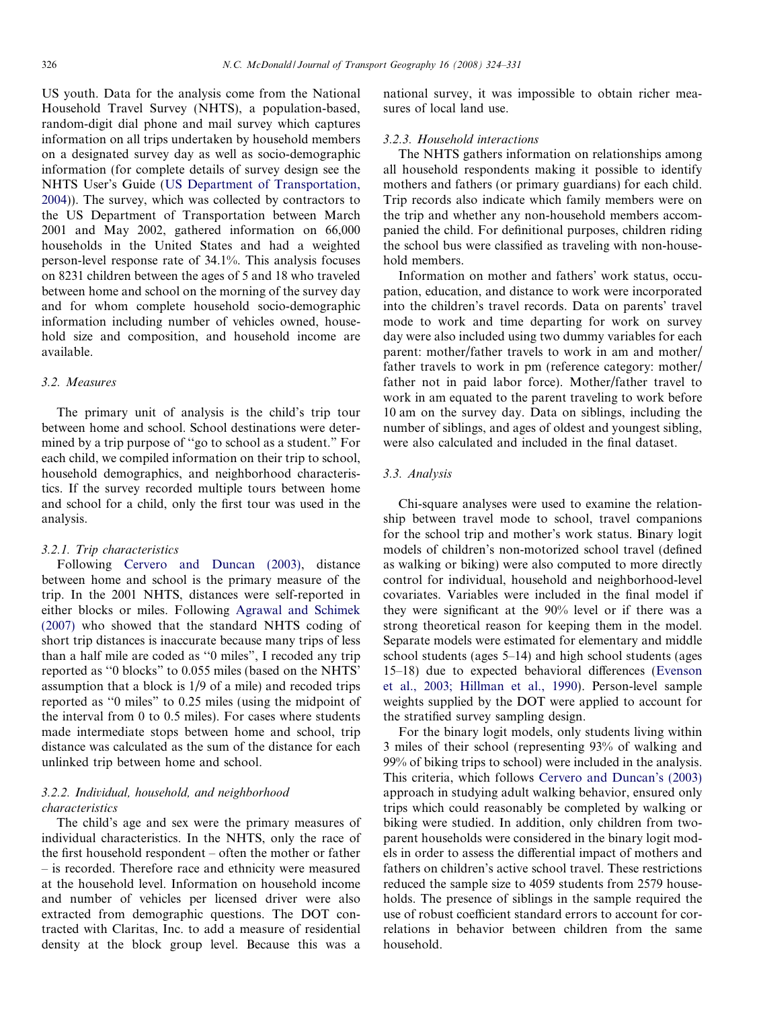US youth. Data for the analysis come from the National Household Travel Survey (NHTS), a population-based, random-digit dial phone and mail survey which captures information on all trips undertaken by household members on a designated survey day as well as socio-demographic information (for complete details of survey design see the NHTS User's Guide ([US Department of Transportation,](#page-7-0) [2004\)](#page-7-0)). The survey, which was collected by contractors to the US Department of Transportation between March 2001 and May 2002, gathered information on 66,000 households in the United States and had a weighted person-level response rate of 34.1%. This analysis focuses on 8231 children between the ages of 5 and 18 who traveled between home and school on the morning of the survey day and for whom complete household socio-demographic information including number of vehicles owned, household size and composition, and household income are available.

# 3.2. Measures

The primary unit of analysis is the child's trip tour between home and school. School destinations were determined by a trip purpose of ''go to school as a student." For each child, we compiled information on their trip to school, household demographics, and neighborhood characteristics. If the survey recorded multiple tours between home and school for a child, only the first tour was used in the analysis.

## 3.2.1. Trip characteristics

Following [Cervero and Duncan \(2003\),](#page-6-0) distance between home and school is the primary measure of the trip. In the 2001 NHTS, distances were self-reported in either blocks or miles. Following [Agrawal and Schimek](#page-6-0) [\(2007\)](#page-6-0) who showed that the standard NHTS coding of short trip distances is inaccurate because many trips of less than a half mile are coded as ''0 miles", I recoded any trip reported as ''0 blocks" to 0.055 miles (based on the NHTS' assumption that a block is 1/9 of a mile) and recoded trips reported as ''0 miles" to 0.25 miles (using the midpoint of the interval from 0 to 0.5 miles). For cases where students made intermediate stops between home and school, trip distance was calculated as the sum of the distance for each unlinked trip between home and school.

# 3.2.2. Individual, household, and neighborhood characteristics

The child's age and sex were the primary measures of individual characteristics. In the NHTS, only the race of the first household respondent – often the mother or father – is recorded. Therefore race and ethnicity were measured at the household level. Information on household income and number of vehicles per licensed driver were also extracted from demographic questions. The DOT contracted with Claritas, Inc. to add a measure of residential density at the block group level. Because this was a national survey, it was impossible to obtain richer measures of local land use.

## 3.2.3. Household interactions

The NHTS gathers information on relationships among all household respondents making it possible to identify mothers and fathers (or primary guardians) for each child. Trip records also indicate which family members were on the trip and whether any non-household members accompanied the child. For definitional purposes, children riding the school bus were classified as traveling with non-household members.

Information on mother and fathers' work status, occupation, education, and distance to work were incorporated into the children's travel records. Data on parents' travel mode to work and time departing for work on survey day were also included using two dummy variables for each parent: mother/father travels to work in am and mother/ father travels to work in pm (reference category: mother/ father not in paid labor force). Mother/father travel to work in am equated to the parent traveling to work before 10 am on the survey day. Data on siblings, including the number of siblings, and ages of oldest and youngest sibling, were also calculated and included in the final dataset.

## 3.3. Analysis

Chi-square analyses were used to examine the relationship between travel mode to school, travel companions for the school trip and mother's work status. Binary logit models of children's non-motorized school travel (defined as walking or biking) were also computed to more directly control for individual, household and neighborhood-level covariates. Variables were included in the final model if they were significant at the 90% level or if there was a strong theoretical reason for keeping them in the model. Separate models were estimated for elementary and middle school students (ages 5–14) and high school students (ages 15–18) due to expected behavioral differences [\(Evenson](#page-6-0) [et al., 2003; Hillman et al., 1990](#page-6-0)). Person-level sample weights supplied by the DOT were applied to account for the stratified survey sampling design.

For the binary logit models, only students living within 3 miles of their school (representing 93% of walking and 99% of biking trips to school) were included in the analysis. This criteria, which follows [Cervero and Duncan's \(2003\)](#page-6-0) approach in studying adult walking behavior, ensured only trips which could reasonably be completed by walking or biking were studied. In addition, only children from twoparent households were considered in the binary logit models in order to assess the differential impact of mothers and fathers on children's active school travel. These restrictions reduced the sample size to 4059 students from 2579 households. The presence of siblings in the sample required the use of robust coefficient standard errors to account for correlations in behavior between children from the same household.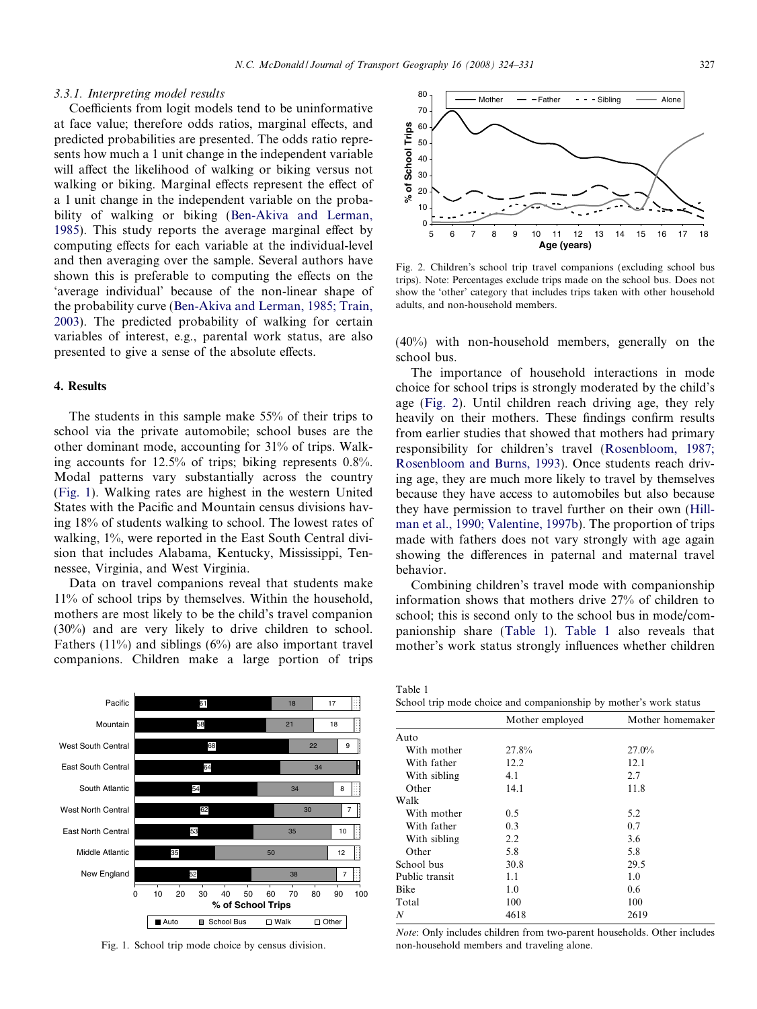## 3.3.1. Interpreting model results

Coefficients from logit models tend to be uninformative at face value; therefore odds ratios, marginal effects, and predicted probabilities are presented. The odds ratio represents how much a 1 unit change in the independent variable will affect the likelihood of walking or biking versus not walking or biking. Marginal effects represent the effect of a 1 unit change in the independent variable on the probability of walking or biking ([Ben-Akiva and Lerman,](#page-6-0) [1985](#page-6-0)). This study reports the average marginal effect by computing effects for each variable at the individual-level and then averaging over the sample. Several authors have shown this is preferable to computing the effects on the 'average individual' because of the non-linear shape of the probability curve ([Ben-Akiva and Lerman, 1985; Train,](#page-6-0) [2003](#page-6-0)). The predicted probability of walking for certain variables of interest, e.g., parental work status, are also presented to give a sense of the absolute effects.

# 4. Results

The students in this sample make 55% of their trips to school via the private automobile; school buses are the other dominant mode, accounting for 31% of trips. Walking accounts for 12.5% of trips; biking represents 0.8%. Modal patterns vary substantially across the country (Fig. 1). Walking rates are highest in the western United States with the Pacific and Mountain census divisions having 18% of students walking to school. The lowest rates of walking,  $1\%$ , were reported in the East South Central division that includes Alabama, Kentucky, Mississippi, Tennessee, Virginia, and West Virginia.

Data on travel companions reveal that students make 11% of school trips by themselves. Within the household, mothers are most likely to be the child's travel companion (30%) and are very likely to drive children to school. Fathers  $(11\%)$  and siblings  $(6\%)$  are also important travel companions. Children make a large portion of trips



Fig. 1. School trip mode choice by census division.



Fig. 2. Children's school trip travel companions (excluding school bus trips). Note: Percentages exclude trips made on the school bus. Does not show the 'other' category that includes trips taken with other household adults, and non-household members.

(40%) with non-household members, generally on the school bus.

The importance of household interactions in mode choice for school trips is strongly moderated by the child's age (Fig. 2). Until children reach driving age, they rely heavily on their mothers. These findings confirm results from earlier studies that showed that mothers had primary responsibility for children's travel [\(Rosenbloom, 1987;](#page-6-0) [Rosenbloom and Burns, 1993](#page-6-0)). Once students reach driving age, they are much more likely to travel by themselves because they have access to automobiles but also because they have permission to travel further on their own ([Hill](#page-6-0)[man et al., 1990; Valentine, 1997b](#page-6-0)). The proportion of trips made with fathers does not vary strongly with age again showing the differences in paternal and maternal travel behavior.

Combining children's travel mode with companionship information shows that mothers drive 27% of children to school; this is second only to the school bus in mode/companionship share (Table 1). Table 1 also reveals that mother's work status strongly influences whether children

School trip mode choice and companionship by mother's work status

|                | Mother employed | Mother homemaker |  |  |  |
|----------------|-----------------|------------------|--|--|--|
| Auto           |                 |                  |  |  |  |
| With mother    | 27.8%           | 27.0%            |  |  |  |
| With father    | 12.2            | 12.1             |  |  |  |
| With sibling   | 4.1             | 2.7              |  |  |  |
| Other          | 14.1            | 11.8             |  |  |  |
| Walk           |                 |                  |  |  |  |
| With mother    | 0.5             | 5.2              |  |  |  |
| With father    | 0.3             | 0.7              |  |  |  |
| With sibling   | 2.2             | 3.6              |  |  |  |
| Other          | 5.8             | 5.8              |  |  |  |
| School bus     | 30.8            | 29.5             |  |  |  |
| Public transit | 1.1             | 1.0              |  |  |  |
| Bike           | 1.0             | 0.6              |  |  |  |
| Total          | 100             | 100              |  |  |  |
| N              | 4618            | 2619             |  |  |  |
|                |                 |                  |  |  |  |

Note: Only includes children from two-parent households. Other includes non-household members and traveling alone.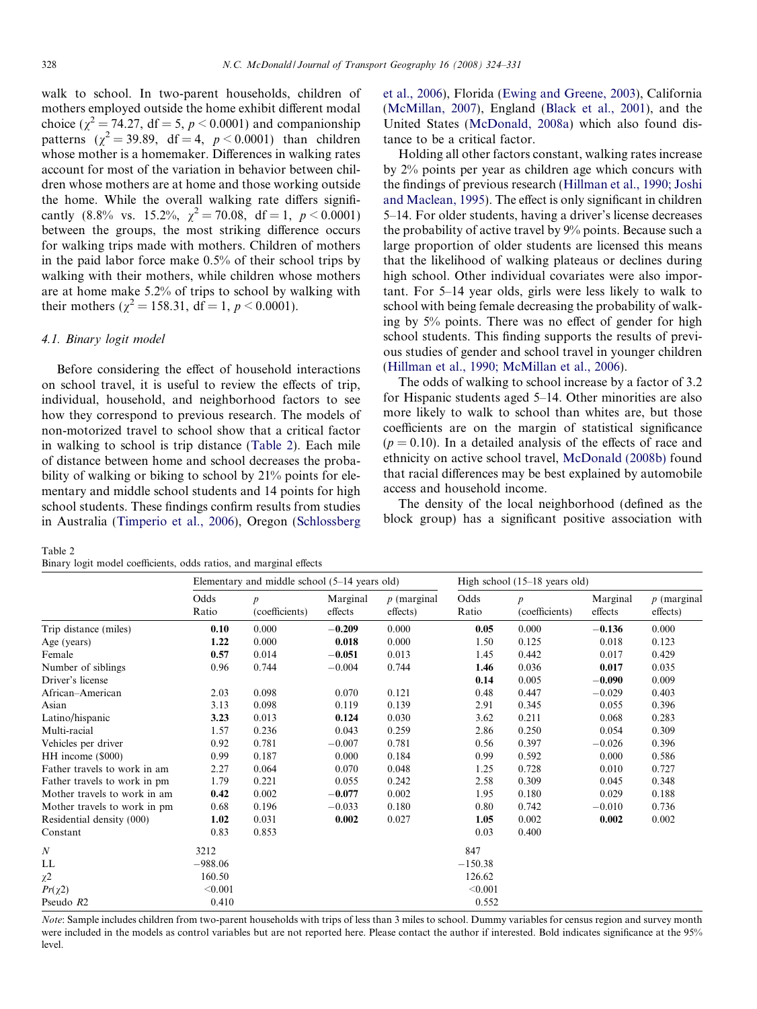walk to school. In two-parent households, children of mothers employed outside the home exhibit different modal choice ( $\chi^2$  = 74.27, df = 5, p < 0.0001) and companionship patterns ( $\chi^2$  = 39.89, df = 4,  $p < 0.0001$ ) than children whose mother is a homemaker. Differences in walking rates account for most of the variation in behavior between children whose mothers are at home and those working outside the home. While the overall walking rate differs significantly (8.8% vs. 15.2%,  $\chi^2 = 70.08$ , df = 1, p < 0.0001) between the groups, the most striking difference occurs for walking trips made with mothers. Children of mothers in the paid labor force make 0.5% of their school trips by walking with their mothers, while children whose mothers are at home make 5.2% of trips to school by walking with their mothers ( $\chi^2$  = 158.31, df = 1, p < 0.0001).

# 4.1. Binary logit model

Before considering the effect of household interactions on school travel, it is useful to review the effects of trip, individual, household, and neighborhood factors to see how they correspond to previous research. The models of non-motorized travel to school show that a critical factor in walking to school is trip distance (Table 2). Each mile of distance between home and school decreases the probability of walking or biking to school by 21% points for elementary and middle school students and 14 points for high school students. These findings confirm results from studies in Australia ([Timperio et al., 2006](#page-6-0)), Oregon ([Schlossberg](#page-6-0)

[et al., 2006](#page-6-0)), Florida [\(Ewing and Greene, 2003](#page-6-0)), California [\(McMillan, 2007](#page-6-0)), England [\(Black et al., 2001](#page-6-0)), and the United States [\(McDonald, 2008a](#page-6-0)) which also found distance to be a critical factor.

Holding all other factors constant, walking rates increase by 2% points per year as children age which concurs with the findings of previous research [\(Hillman et al., 1990; Joshi](#page-6-0) [and Maclean, 1995\)](#page-6-0). The effect is only significant in children 5–14. For older students, having a driver's license decreases the probability of active travel by 9% points. Because such a large proportion of older students are licensed this means that the likelihood of walking plateaus or declines during high school. Other individual covariates were also important. For 5–14 year olds, girls were less likely to walk to school with being female decreasing the probability of walking by 5% points. There was no effect of gender for high school students. This finding supports the results of previous studies of gender and school travel in younger children [\(Hillman et al., 1990; McMillan et al., 2006\)](#page-6-0).

The odds of walking to school increase by a factor of 3.2 for Hispanic students aged 5–14. Other minorities are also more likely to walk to school than whites are, but those coefficients are on the margin of statistical significance  $(p = 0.10)$ . In a detailed analysis of the effects of race and ethnicity on active school travel, [McDonald \(2008b\)](#page-6-0) found that racial differences may be best explained by automobile access and household income.

The density of the local neighborhood (defined as the block group) has a significant positive association with

Table 2

Binary logit model coefficients, odds ratios, and marginal effects

|                              | Elementary and middle school (5–14 years old) |                                    |                     |                           | High school $(15-18 \text{ years old})$ |                                    |                     |                           |
|------------------------------|-----------------------------------------------|------------------------------------|---------------------|---------------------------|-----------------------------------------|------------------------------------|---------------------|---------------------------|
|                              | Odds<br>Ratio                                 | $\boldsymbol{p}$<br>(coefficients) | Marginal<br>effects | $p$ (marginal<br>effects) | Odds<br>Ratio                           | $\boldsymbol{p}$<br>(coefficients) | Marginal<br>effects | $p$ (marginal<br>effects) |
| Trip distance (miles)        | 0.10                                          | 0.000                              | $-0.209$            | 0.000                     | 0.05                                    | 0.000                              | $-0.136$            | 0.000                     |
| Age (years)                  | 1.22                                          | 0.000                              | 0.018               | 0.000                     | 1.50                                    | 0.125                              | 0.018               | 0.123                     |
| Female                       | 0.57                                          | 0.014                              | $-0.051$            | 0.013                     | 1.45                                    | 0.442                              | 0.017               | 0.429                     |
| Number of siblings           | 0.96                                          | 0.744                              | $-0.004$            | 0.744                     | 1.46                                    | 0.036                              | 0.017               | 0.035                     |
| Driver's license             |                                               |                                    |                     |                           | 0.14                                    | 0.005                              | $-0.090$            | 0.009                     |
| African-American             | 2.03                                          | 0.098                              | 0.070               | 0.121                     | 0.48                                    | 0.447                              | $-0.029$            | 0.403                     |
| Asian                        | 3.13                                          | 0.098                              | 0.119               | 0.139                     | 2.91                                    | 0.345                              | 0.055               | 0.396                     |
| Latino/hispanic              | 3.23                                          | 0.013                              | 0.124               | 0.030                     | 3.62                                    | 0.211                              | 0.068               | 0.283                     |
| Multi-racial                 | 1.57                                          | 0.236                              | 0.043               | 0.259                     | 2.86                                    | 0.250                              | 0.054               | 0.309                     |
| Vehicles per driver          | 0.92                                          | 0.781                              | $-0.007$            | 0.781                     | 0.56                                    | 0.397                              | $-0.026$            | 0.396                     |
| HH income (\$000)            | 0.99                                          | 0.187                              | 0.000               | 0.184                     | 0.99                                    | 0.592                              | 0.000               | 0.586                     |
| Father travels to work in am | 2.27                                          | 0.064                              | 0.070               | 0.048                     | 1.25                                    | 0.728                              | 0.010               | 0.727                     |
| Father travels to work in pm | 1.79                                          | 0.221                              | 0.055               | 0.242                     | 2.58                                    | 0.309                              | 0.045               | 0.348                     |
| Mother travels to work in am | 0.42                                          | 0.002                              | $-0.077$            | 0.002                     | 1.95                                    | 0.180                              | 0.029               | 0.188                     |
| Mother travels to work in pm | 0.68                                          | 0.196                              | $-0.033$            | 0.180                     | 0.80                                    | 0.742                              | $-0.010$            | 0.736                     |
| Residential density (000)    | 1.02                                          | 0.031                              | 0.002               | 0.027                     | 1.05                                    | 0.002                              | 0.002               | 0.002                     |
| Constant                     | 0.83                                          | 0.853                              |                     |                           | 0.03                                    | 0.400                              |                     |                           |
| $\boldsymbol{N}$             | 3212                                          |                                    |                     |                           | 847                                     |                                    |                     |                           |
| LL                           | $-988.06$                                     |                                    |                     |                           | $-150.38$                               |                                    |                     |                           |
| $\chi$ 2                     | 160.50                                        | 126.62                             |                     |                           |                                         |                                    |                     |                           |
| $Pr(\chi^2)$                 | < 0.001                                       | < 0.001                            |                     |                           |                                         |                                    |                     |                           |
| Pseudo R2                    | 0.410<br>0.552                                |                                    |                     |                           |                                         |                                    |                     |                           |

Note: Sample includes children from two-parent households with trips of less than 3 miles to school. Dummy variables for census region and survey month were included in the models as control variables but are not reported here. Please contact the author if interested. Bold indicates significance at the 95% level.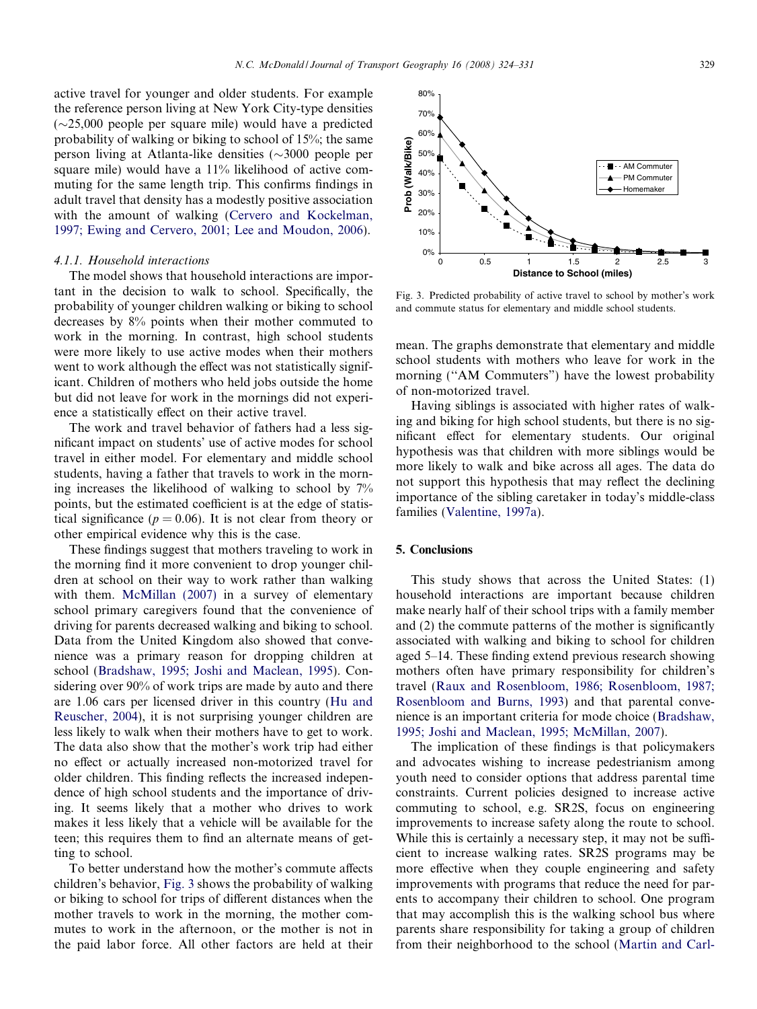active travel for younger and older students. For example the reference person living at New York City-type densities  $(\sim 25,000$  people per square mile) would have a predicted probability of walking or biking to school of 15%; the same person living at Atlanta-like densities  $(\sim)3000$  people per square mile) would have a 11% likelihood of active commuting for the same length trip. This confirms findings in adult travel that density has a modestly positive association with the amount of walking [\(Cervero and Kockelman,](#page-6-0) [1997; Ewing and Cervero, 2001; Lee and Moudon, 2006\)](#page-6-0).

## 4.1.1. Household interactions

The model shows that household interactions are important in the decision to walk to school. Specifically, the probability of younger children walking or biking to school decreases by 8% points when their mother commuted to work in the morning. In contrast, high school students were more likely to use active modes when their mothers went to work although the effect was not statistically significant. Children of mothers who held jobs outside the home but did not leave for work in the mornings did not experience a statistically effect on their active travel.

The work and travel behavior of fathers had a less significant impact on students' use of active modes for school travel in either model. For elementary and middle school students, having a father that travels to work in the morning increases the likelihood of walking to school by 7% points, but the estimated coefficient is at the edge of statistical significance ( $p = 0.06$ ). It is not clear from theory or other empirical evidence why this is the case.

These findings suggest that mothers traveling to work in the morning find it more convenient to drop younger children at school on their way to work rather than walking with them. [McMillan \(2007\)](#page-6-0) in a survey of elementary school primary caregivers found that the convenience of driving for parents decreased walking and biking to school. Data from the United Kingdom also showed that convenience was a primary reason for dropping children at school [\(Bradshaw, 1995; Joshi and Maclean, 1995](#page-6-0)). Considering over 90% of work trips are made by auto and there are 1.06 cars per licensed driver in this country ([Hu and](#page-6-0) [Reuscher, 2004\)](#page-6-0), it is not surprising younger children are less likely to walk when their mothers have to get to work. The data also show that the mother's work trip had either no effect or actually increased non-motorized travel for older children. This finding reflects the increased independence of high school students and the importance of driving. It seems likely that a mother who drives to work makes it less likely that a vehicle will be available for the teen; this requires them to find an alternate means of getting to school.

To better understand how the mother's commute affects children's behavior, Fig. 3 shows the probability of walking or biking to school for trips of different distances when the mother travels to work in the morning, the mother commutes to work in the afternoon, or the mother is not in the paid labor force. All other factors are held at their



Fig. 3. Predicted probability of active travel to school by mother's work and commute status for elementary and middle school students.

mean. The graphs demonstrate that elementary and middle school students with mothers who leave for work in the morning ("AM Commuters") have the lowest probability of non-motorized travel.

Having siblings is associated with higher rates of walking and biking for high school students, but there is no significant effect for elementary students. Our original hypothesis was that children with more siblings would be more likely to walk and bike across all ages. The data do not support this hypothesis that may reflect the declining importance of the sibling caretaker in today's middle-class families [\(Valentine, 1997a\)](#page-7-0).

# 5. Conclusions

This study shows that across the United States: (1) household interactions are important because children make nearly half of their school trips with a family member and (2) the commute patterns of the mother is significantly associated with walking and biking to school for children aged 5–14. These finding extend previous research showing mothers often have primary responsibility for children's travel [\(Raux and Rosenbloom, 1986; Rosenbloom, 1987;](#page-6-0) [Rosenbloom and Burns, 1993](#page-6-0)) and that parental convenience is an important criteria for mode choice [\(Bradshaw,](#page-6-0) [1995; Joshi and Maclean, 1995; McMillan, 2007\)](#page-6-0).

The implication of these findings is that policymakers and advocates wishing to increase pedestrianism among youth need to consider options that address parental time constraints. Current policies designed to increase active commuting to school, e.g. SR2S, focus on engineering improvements to increase safety along the route to school. While this is certainly a necessary step, it may not be sufficient to increase walking rates. SR2S programs may be more effective when they couple engineering and safety improvements with programs that reduce the need for parents to accompany their children to school. One program that may accomplish this is the walking school bus where parents share responsibility for taking a group of children from their neighborhood to the school ([Martin and Carl-](#page-6-0)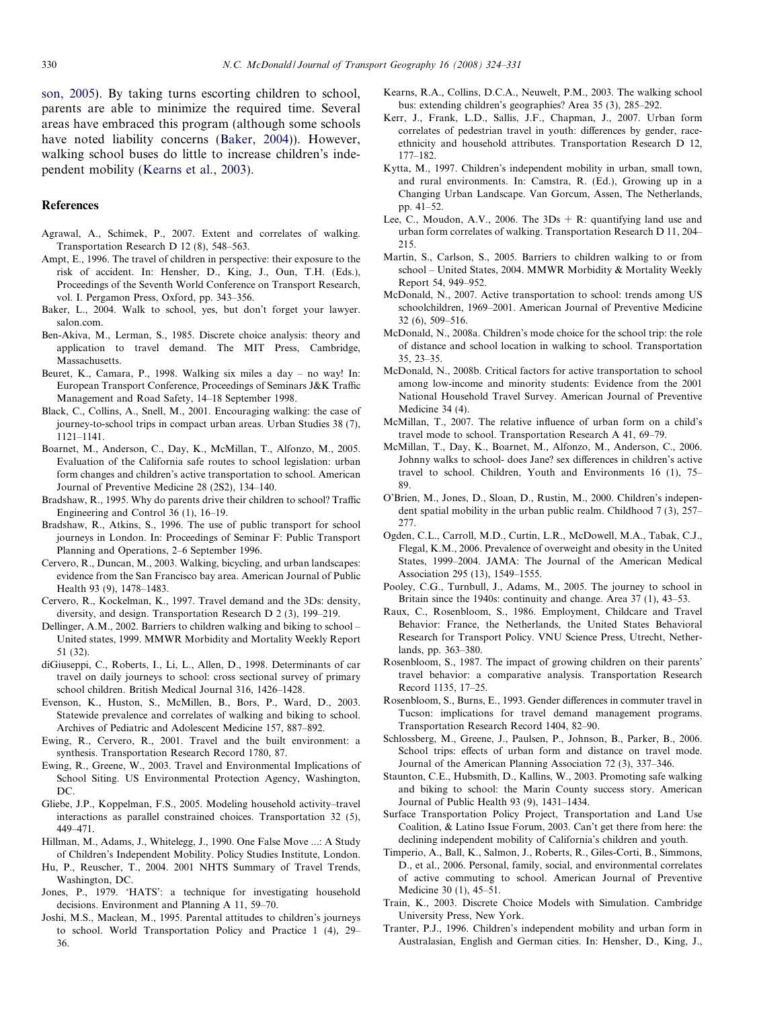<span id="page-6-0"></span>son, 2005). By taking turns escorting children to school, parents are able to minimize the required time. Several areas have embraced this program (although some schools have noted liability concerns (Baker, 2004)). However, walking school buses do little to increase children's independent mobility (Kearns et al., 2003).

# References

- Agrawal, A., Schimek, P., 2007. Extent and correlates of walking. Transportation Research D 12 (8), 548–563.
- Ampt, E., 1996. The travel of children in perspective: their exposure to the risk of accident. In: Hensher, D., King, J., Oun, T.H. (Eds.), Proceedings of the Seventh World Conference on Transport Research, vol. I. Pergamon Press, Oxford, pp. 343–356.
- Baker, L., 2004. Walk to school, yes, but don't forget your lawyer. salon.com.
- Ben-Akiva, M., Lerman, S., 1985. Discrete choice analysis: theory and application to travel demand. The MIT Press, Cambridge, Massachusetts.
- Beuret, K., Camara, P., 1998. Walking six miles a day no way! In: European Transport Conference, Proceedings of Seminars J&K Traffic Management and Road Safety, 14–18 September 1998.
- Black, C., Collins, A., Snell, M., 2001. Encouraging walking: the case of journey-to-school trips in compact urban areas. Urban Studies 38 (7), 1121–1141.
- Boarnet, M., Anderson, C., Day, K., McMillan, T., Alfonzo, M., 2005. Evaluation of the California safe routes to school legislation: urban form changes and children's active transportation to school. American Journal of Preventive Medicine 28 (2S2), 134–140.
- Bradshaw, R., 1995. Why do parents drive their children to school? Traffic Engineering and Control 36 (1), 16–19.
- Bradshaw, R., Atkins, S., 1996. The use of public transport for school journeys in London. In: Proceedings of Seminar F: Public Transport Planning and Operations, 2–6 September 1996.
- Cervero, R., Duncan, M., 2003. Walking, bicycling, and urban landscapes: evidence from the San Francisco bay area. American Journal of Public Health 93 (9), 1478–1483.
- Cervero, R., Kockelman, K., 1997. Travel demand and the 3Ds: density, diversity, and design. Transportation Research D 2 (3), 199–219.
- Dellinger, A.M., 2002. Barriers to children walking and biking to school United states, 1999. MMWR Morbidity and Mortality Weekly Report 51 (32).
- diGiuseppi, C., Roberts, I., Li, L., Allen, D., 1998. Determinants of car travel on daily journeys to school: cross sectional survey of primary school children. British Medical Journal 316, 1426–1428.
- Evenson, K., Huston, S., McMillen, B., Bors, P., Ward, D., 2003. Statewide prevalence and correlates of walking and biking to school. Archives of Pediatric and Adolescent Medicine 157, 887–892.
- Ewing, R., Cervero, R., 2001. Travel and the built environment: a synthesis. Transportation Research Record 1780, 87.
- Ewing, R., Greene, W., 2003. Travel and Environmental Implications of School Siting. US Environmental Protection Agency, Washington, DC.
- Gliebe, J.P., Koppelman, F.S., 2005. Modeling household activity–travel interactions as parallel constrained choices. Transportation 32 (5), 449–471.
- Hillman, M., Adams, J., Whitelegg, J., 1990. One False Move ...: A Study of Children's Independent Mobility. Policy Studies Institute, London.
- Hu, P., Reuscher, T., 2004. 2001 NHTS Summary of Travel Trends, Washington, DC.
- Jones, P., 1979. 'HATS': a technique for investigating household decisions. Environment and Planning A 11, 59–70.
- Joshi, M.S., Maclean, M., 1995. Parental attitudes to children's journeys to school. World Transportation Policy and Practice 1 (4), 29– 36.
- Kearns, R.A., Collins, D.C.A., Neuwelt, P.M., 2003. The walking school bus: extending children's geographies? Area 35 (3), 285–292.
- Kerr, J., Frank, L.D., Sallis, J.F., Chapman, J., 2007. Urban form correlates of pedestrian travel in youth: differences by gender, raceethnicity and household attributes. Transportation Research D 12, 177–182.
- Kytta, M., 1997. Children's independent mobility in urban, small town, and rural environments. In: Camstra, R. (Ed.), Growing up in a Changing Urban Landscape. Van Gorcum, Assen, The Netherlands, pp. 41–52.
- Lee, C., Moudon, A.V., 2006. The  $3Ds + R$ : quantifying land use and urban form correlates of walking. Transportation Research D 11, 204– 215.
- Martin, S., Carlson, S., 2005. Barriers to children walking to or from school – United States, 2004. MMWR Morbidity & Mortality Weekly Report 54, 949–952.
- McDonald, N., 2007. Active transportation to school: trends among US schoolchildren, 1969–2001. American Journal of Preventive Medicine 32 (6), 509–516.
- McDonald, N., 2008a. Children's mode choice for the school trip: the role of distance and school location in walking to school. Transportation 35, 23–35.
- McDonald, N., 2008b. Critical factors for active transportation to school among low-income and minority students: Evidence from the 2001 National Household Travel Survey. American Journal of Preventive Medicine 34 (4).
- McMillan, T., 2007. The relative influence of urban form on a child's travel mode to school. Transportation Research A 41, 69–79.
- McMillan, T., Day, K., Boarnet, M., Alfonzo, M., Anderson, C., 2006. Johnny walks to school- does Jane? sex differences in children's active travel to school. Children, Youth and Environments 16 (1), 75– 89.
- O'Brien, M., Jones, D., Sloan, D., Rustin, M., 2000. Children's independent spatial mobility in the urban public realm. Childhood 7 (3), 257– 277.
- Ogden, C.L., Carroll, M.D., Curtin, L.R., McDowell, M.A., Tabak, C.J., Flegal, K.M., 2006. Prevalence of overweight and obesity in the United States, 1999–2004. JAMA: The Journal of the American Medical Association 295 (13), 1549–1555.
- Pooley, C.G., Turnbull, J., Adams, M., 2005. The journey to school in Britain since the 1940s: continuity and change. Area 37 (1), 43–53.
- Raux, C., Rosenbloom, S., 1986. Employment, Childcare and Travel Behavior: France, the Netherlands, the United States Behavioral Research for Transport Policy. VNU Science Press, Utrecht, Netherlands, pp. 363–380.
- Rosenbloom, S., 1987. The impact of growing children on their parents' travel behavior: a comparative analysis. Transportation Research Record 1135, 17–25.
- Rosenbloom, S., Burns, E., 1993. Gender differences in commuter travel in Tucson: implications for travel demand management programs. Transportation Research Record 1404, 82–90.
- Schlossberg, M., Greene, J., Paulsen, P., Johnson, B., Parker, B., 2006. School trips: effects of urban form and distance on travel mode. Journal of the American Planning Association 72 (3), 337–346.
- Staunton, C.E., Hubsmith, D., Kallins, W., 2003. Promoting safe walking and biking to school: the Marin County success story. American Journal of Public Health 93 (9), 1431–1434.
- Surface Transportation Policy Project, Transportation and Land Use Coalition, & Latino Issue Forum, 2003. Can't get there from here: the declining independent mobility of California's children and youth.
- Timperio, A., Ball, K., Salmon, J., Roberts, R., Giles-Corti, B., Simmons, D., et al., 2006. Personal, family, social, and environmental correlates of active commuting to school. American Journal of Preventive Medicine 30 (1), 45–51.
- Train, K., 2003. Discrete Choice Models with Simulation. Cambridge University Press, New York.
- Tranter, P.J., 1996. Children's independent mobility and urban form in Australasian, English and German cities. In: Hensher, D., King, J.,